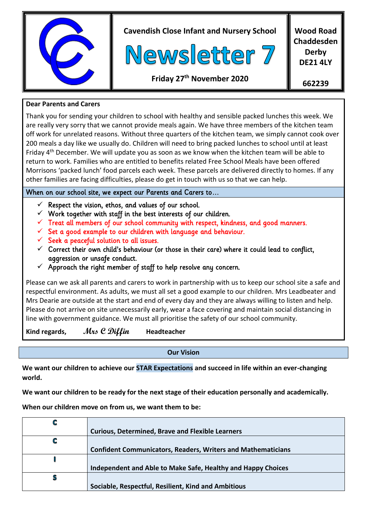

**Cavendish Close Infant and Nursery School**



**Wood Road Chaddesden Derby DE21 4LY**

**Friday 27th November 2020**

**662239**

## **Dear Parents and Carers**

Thank you for sending your children to school with healthy and sensible packed lunches this week. We are really very sorry that we cannot provide meals again. We have three members of the kitchen team off work for unrelated reasons. Without three quarters of the kitchen team, we simply cannot cook over 200 meals a day like we usually do. Children will need to bring packed lunches to school until at least Friday 4th December. We will update you as soon as we know when the kitchen team will be able to return to work. Families who are entitled to benefits related Free School Meals have been offered Morrisons 'packed lunch' food parcels each week. These parcels are delivered directly to homes. If any other families are facing difficulties, please do get in touch with us so that we can help.

# When on our school site, we expect our Parents and Carers to…

- Respect the vision, ethos, and values of our school.
- $\checkmark$  Work together with staff in the best interests of our children.
- $\checkmark$  Treat all members of our school community with respect, kindness, and good manners.
- $\checkmark$  Set a good example to our children with language and behaviour.
- $\checkmark$  Seek a peaceful solution to all issues.
- $\checkmark$  Correct their own child's behaviour (or those in their care) where it could lead to conflict, aggression or unsafe conduct.
- $\checkmark$  Approach the right member of staff to help resolve any concern.

Please can we ask all parents and carers to work in partnership with us to keep our school site a safe and respectful environment. As adults, we must all set a good example to our children. Mrs Leadbeater and Mrs Dearie are outside at the start and end of every day and they are always willing to listen and help. Please do not arrive on site unnecessarily early, wear a face covering and maintain social distancing in line with government guidance. We must all prioritise the safety of our school community.

**Kind regards, Mrs C Diffin Headteacher**

**Our Vision**

**We want our children to achieve our STAR Expectations and succeed in life within an ever-changing world.**

**We want our children to be ready for the next stage of their education personally and academically.**

**When our children move on from us, we want them to be:**

|   | <b>Curious, Determined, Brave and Flexible Learners</b>             |
|---|---------------------------------------------------------------------|
| C |                                                                     |
|   | <b>Confident Communicators, Readers, Writers and Mathematicians</b> |
|   |                                                                     |
|   | Independent and Able to Make Safe, Healthy and Happy Choices        |
| S |                                                                     |
|   | Sociable, Respectful, Resilient, Kind and Ambitious                 |